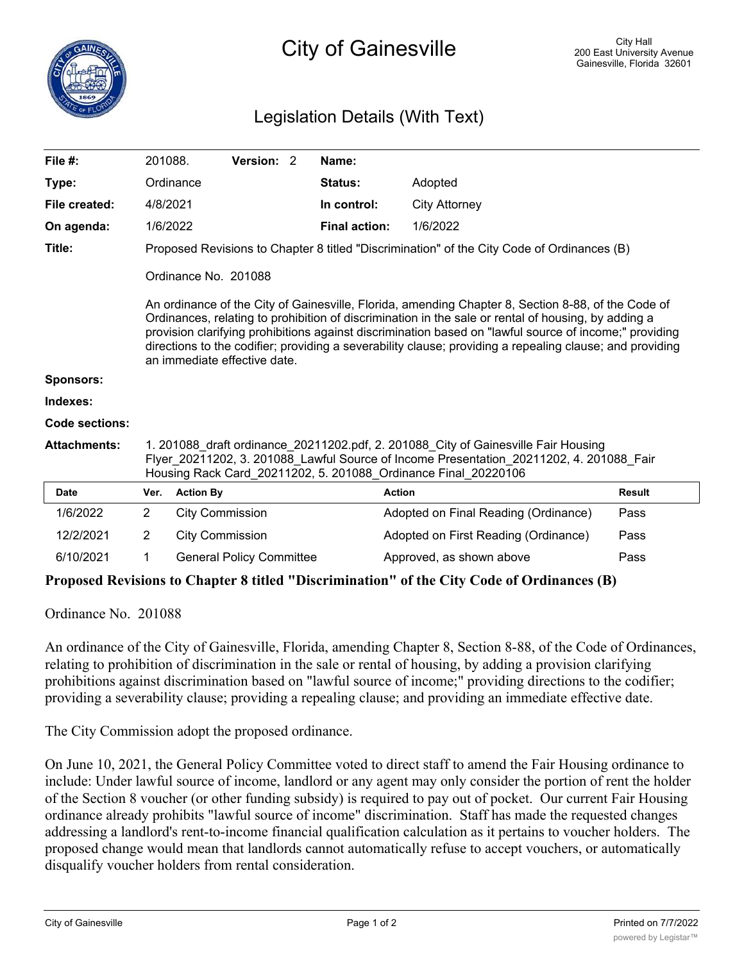## Legislation Details (With Text)

| File $#$ :          | 201088.                                                                                                                                                                                                                                                                                                                                                                                                                                                         |                        | Version: 2                      |  | Name:                |                                      |               |
|---------------------|-----------------------------------------------------------------------------------------------------------------------------------------------------------------------------------------------------------------------------------------------------------------------------------------------------------------------------------------------------------------------------------------------------------------------------------------------------------------|------------------------|---------------------------------|--|----------------------|--------------------------------------|---------------|
| Type:               |                                                                                                                                                                                                                                                                                                                                                                                                                                                                 | Ordinance              |                                 |  | <b>Status:</b>       | Adopted                              |               |
| File created:       | 4/8/2021                                                                                                                                                                                                                                                                                                                                                                                                                                                        |                        |                                 |  | In control:          | <b>City Attorney</b>                 |               |
| On agenda:          | 1/6/2022                                                                                                                                                                                                                                                                                                                                                                                                                                                        |                        |                                 |  | <b>Final action:</b> | 1/6/2022                             |               |
| Title:              | Proposed Revisions to Chapter 8 titled "Discrimination" of the City Code of Ordinances (B)                                                                                                                                                                                                                                                                                                                                                                      |                        |                                 |  |                      |                                      |               |
|                     |                                                                                                                                                                                                                                                                                                                                                                                                                                                                 | Ordinance No. 201088   |                                 |  |                      |                                      |               |
|                     | An ordinance of the City of Gainesville, Florida, amending Chapter 8, Section 8-88, of the Code of<br>Ordinances, relating to prohibition of discrimination in the sale or rental of housing, by adding a<br>provision clarifying prohibitions against discrimination based on "lawful source of income;" providing<br>directions to the codifier; providing a severability clause; providing a repealing clause; and providing<br>an immediate effective date. |                        |                                 |  |                      |                                      |               |
| <b>Sponsors:</b>    |                                                                                                                                                                                                                                                                                                                                                                                                                                                                 |                        |                                 |  |                      |                                      |               |
| Indexes:            |                                                                                                                                                                                                                                                                                                                                                                                                                                                                 |                        |                                 |  |                      |                                      |               |
| Code sections:      |                                                                                                                                                                                                                                                                                                                                                                                                                                                                 |                        |                                 |  |                      |                                      |               |
| <b>Attachments:</b> | 1. 201088 draft ordinance_20211202.pdf, 2. 201088 City of Gainesville Fair Housing<br>Flyer 20211202, 3. 201088 Lawful Source of Income Presentation 20211202, 4. 201088 Fair<br>Housing Rack Card_20211202, 5. 201088_Ordinance Final_20220106                                                                                                                                                                                                                 |                        |                                 |  |                      |                                      |               |
| <b>Date</b>         | Ver.                                                                                                                                                                                                                                                                                                                                                                                                                                                            | <b>Action By</b>       |                                 |  | <b>Action</b>        |                                      | <b>Result</b> |
| 1/6/2022            | 2                                                                                                                                                                                                                                                                                                                                                                                                                                                               | <b>City Commission</b> |                                 |  |                      | Adopted on Final Reading (Ordinance) | Pass          |
| 12/2/2021           | 2                                                                                                                                                                                                                                                                                                                                                                                                                                                               | <b>City Commission</b> |                                 |  |                      | Adopted on First Reading (Ordinance) | Pass          |
| 6/10/2021           | 1                                                                                                                                                                                                                                                                                                                                                                                                                                                               |                        | <b>General Policy Committee</b> |  |                      | Approved, as shown above             | Pass          |

## **Proposed Revisions to Chapter 8 titled "Discrimination" of the City Code of Ordinances (B)**

Ordinance No. 201088

An ordinance of the City of Gainesville, Florida, amending Chapter 8, Section 8-88, of the Code of Ordinances, relating to prohibition of discrimination in the sale or rental of housing, by adding a provision clarifying prohibitions against discrimination based on "lawful source of income;" providing directions to the codifier; providing a severability clause; providing a repealing clause; and providing an immediate effective date.

The City Commission adopt the proposed ordinance.

On June 10, 2021, the General Policy Committee voted to direct staff to amend the Fair Housing ordinance to include: Under lawful source of income, landlord or any agent may only consider the portion of rent the holder of the Section 8 voucher (or other funding subsidy) is required to pay out of pocket. Our current Fair Housing ordinance already prohibits "lawful source of income" discrimination. Staff has made the requested changes addressing a landlord's rent-to-income financial qualification calculation as it pertains to voucher holders. The proposed change would mean that landlords cannot automatically refuse to accept vouchers, or automatically disqualify voucher holders from rental consideration.